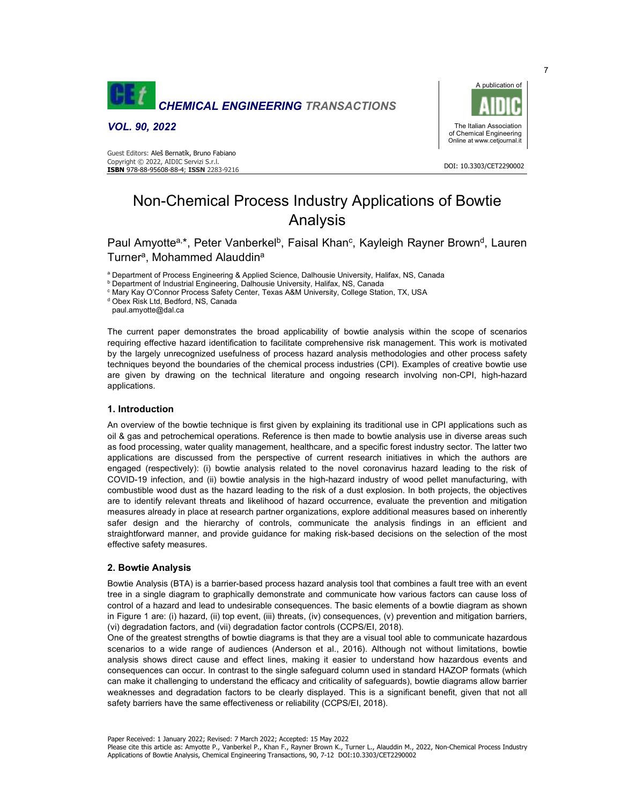

*VOL. 90, 2022* 

 DOI: 10.3303/CET2290002 **ISBN** 978-88-95608-88-4; **ISSN** 2283-9216 Guest Editors: Aleš Bernatík, Bruno Fabiano Copyright © 2022, AIDIC Servizi S.r.l.



# Non-Chemical Process Industry Applications of Bowtie Analysis

Paul Amyotte<sup>a,</sup>\*, Peter Vanberkel<sup>b</sup>, Faisal Khan<sup>c</sup>, Kayleigh Rayner Brown<sup>d</sup>, Lauren Turner<sup>a</sup>, Mohammed Alauddin<sup>a</sup>

a Department of Process Engineering & Applied Science, Dalhousie University, Halifax, NS, Canada

**b Department of Industrial Engineering, Dalhousie University, Halifax, NS, Canada** 

<sup>c</sup> Mary Kay O'Connor Process Safety Center, Texas A&M University, College Station, TX, USA

<sup>d</sup> Obex Risk Ltd, Bedford, NS, Canada

paul.amyotte@dal.ca

The current paper demonstrates the broad applicability of bowtie analysis within the scope of scenarios requiring effective hazard identification to facilitate comprehensive risk management. This work is motivated by the largely unrecognized usefulness of process hazard analysis methodologies and other process safety techniques beyond the boundaries of the chemical process industries (CPI). Examples of creative bowtie use are given by drawing on the technical literature and ongoing research involving non-CPI, high-hazard applications.

#### **1. Introduction**

An overview of the bowtie technique is first given by explaining its traditional use in CPI applications such as oil & gas and petrochemical operations. Reference is then made to bowtie analysis use in diverse areas such as food processing, water quality management, healthcare, and a specific forest industry sector. The latter two applications are discussed from the perspective of current research initiatives in which the authors are engaged (respectively): (i) bowtie analysis related to the novel coronavirus hazard leading to the risk of COVID-19 infection, and (ii) bowtie analysis in the high-hazard industry of wood pellet manufacturing, with combustible wood dust as the hazard leading to the risk of a dust explosion. In both projects, the objectives are to identify relevant threats and likelihood of hazard occurrence, evaluate the prevention and mitigation measures already in place at research partner organizations, explore additional measures based on inherently safer design and the hierarchy of controls, communicate the analysis findings in an efficient and straightforward manner, and provide guidance for making risk-based decisions on the selection of the most effective safety measures.

## **2. Bowtie Analysis**

Bowtie Analysis (BTA) is a barrier-based process hazard analysis tool that combines a fault tree with an event tree in a single diagram to graphically demonstrate and communicate how various factors can cause loss of control of a hazard and lead to undesirable consequences. The basic elements of a bowtie diagram as shown in Figure 1 are: (i) hazard, (ii) top event, (iii) threats, (iv) consequences, (v) prevention and mitigation barriers, (vi) degradation factors, and (vii) degradation factor controls (CCPS/EI, 2018).

One of the greatest strengths of bowtie diagrams is that they are a visual tool able to communicate hazardous scenarios to a wide range of audiences (Anderson et al., 2016). Although not without limitations, bowtie analysis shows direct cause and effect lines, making it easier to understand how hazardous events and consequences can occur. In contrast to the single safeguard column used in standard HAZOP formats (which can make it challenging to understand the efficacy and criticality of safeguards), bowtie diagrams allow barrier weaknesses and degradation factors to be clearly displayed. This is a significant benefit, given that not all safety barriers have the same effectiveness or reliability (CCPS/EI, 2018).

Paper Received: 1 January 2022; Revised: 7 March 2022; Accepted: 15 May 2022

Please cite this article as: Amyotte P., Vanberkel P., Khan F., Rayner Brown K., Turner L., Alauddin M., 2022, Non-Chemical Process Industry Applications of Bowtie Analysis, Chemical Engineering Transactions, 90, 7-12 DOI:10.3303/CET2290002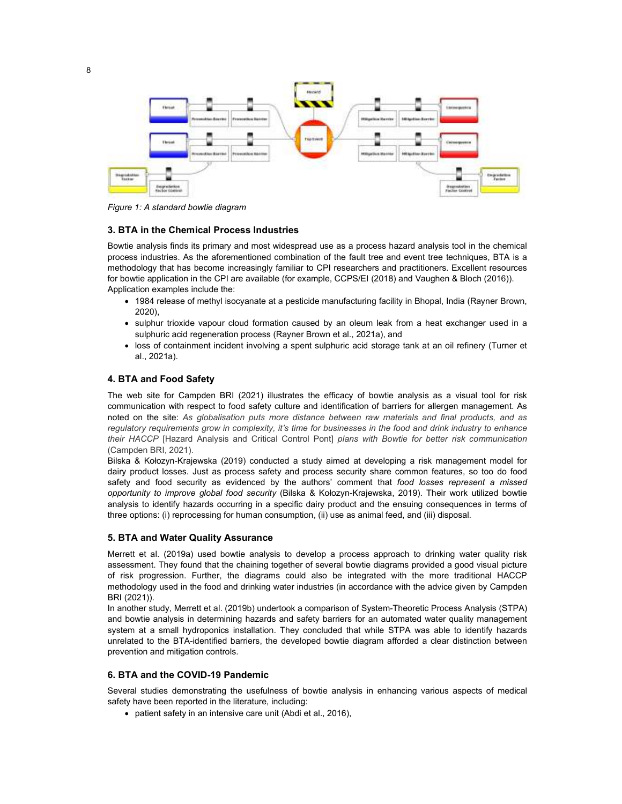

*Figure 1: A standard bowtie diagram* 

## **3. BTA in the Chemical Process Industries**

Bowtie analysis finds its primary and most widespread use as a process hazard analysis tool in the chemical process industries. As the aforementioned combination of the fault tree and event tree techniques, BTA is a methodology that has become increasingly familiar to CPI researchers and practitioners. Excellent resources for bowtie application in the CPI are available (for example, CCPS/EI (2018) and Vaughen & Bloch (2016)). Application examples include the:

- 1984 release of methyl isocyanate at a pesticide manufacturing facility in Bhopal, India (Rayner Brown, 2020),
- sulphur trioxide vapour cloud formation caused by an oleum leak from a heat exchanger used in a sulphuric acid regeneration process (Rayner Brown et al., 2021a), and
- loss of containment incident involving a spent sulphuric acid storage tank at an oil refinery (Turner et al., 2021a).

# **4. BTA and Food Safety**

The web site for Campden BRI (2021) illustrates the efficacy of bowtie analysis as a visual tool for risk communication with respect to food safety culture and identification of barriers for allergen management. As noted on the site: *As globalisation puts more distance between raw materials and final products, and as regulatory requirements grow in complexity, it's time for businesses in the food and drink industry to enhance their HACCP* [Hazard Analysis and Critical Control Pont] *plans with Bowtie for better risk communication* (Campden BRI, 2021).

Bilska & Kołozyn-Krajewska (2019) conducted a study aimed at developing a risk management model for dairy product losses. Just as process safety and process security share common features, so too do food safety and food security as evidenced by the authors' comment that *food losses represent a missed opportunity to improve global food security* (Bilska & Kołozyn-Krajewska, 2019). Their work utilized bowtie analysis to identify hazards occurring in a specific dairy product and the ensuing consequences in terms of three options: (i) reprocessing for human consumption, (ii) use as animal feed, and (iii) disposal.

#### **5. BTA and Water Quality Assurance**

Merrett et al. (2019a) used bowtie analysis to develop a process approach to drinking water quality risk assessment. They found that the chaining together of several bowtie diagrams provided a good visual picture of risk progression. Further, the diagrams could also be integrated with the more traditional HACCP methodology used in the food and drinking water industries (in accordance with the advice given by Campden BRI (2021)).

In another study, Merrett et al. (2019b) undertook a comparison of System-Theoretic Process Analysis (STPA) and bowtie analysis in determining hazards and safety barriers for an automated water quality management system at a small hydroponics installation. They concluded that while STPA was able to identify hazards unrelated to the BTA-identified barriers, the developed bowtie diagram afforded a clear distinction between prevention and mitigation controls.

#### **6. BTA and the COVID-19 Pandemic**

Several studies demonstrating the usefulness of bowtie analysis in enhancing various aspects of medical safety have been reported in the literature, including:

patient safety in an intensive care unit (Abdi et al., 2016),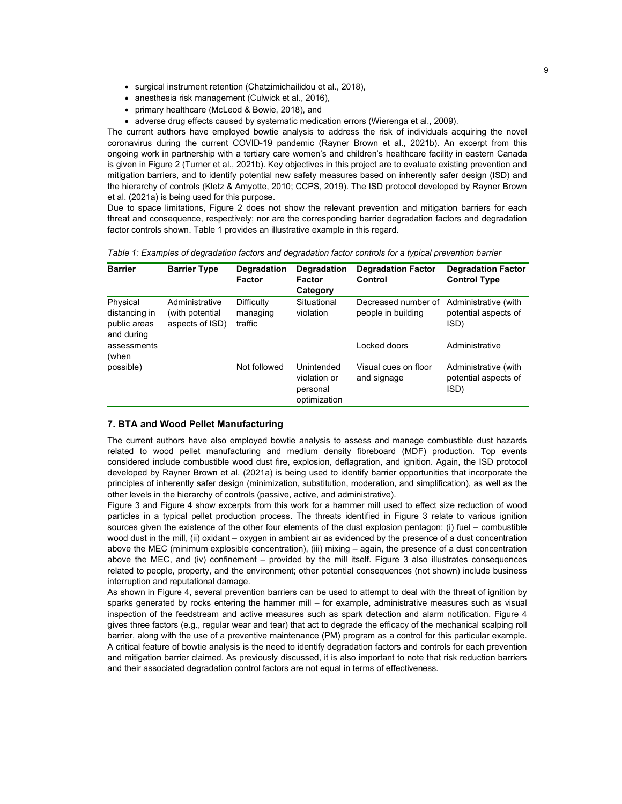- surgical instrument retention (Chatzimichailidou et al., 2018),
- anesthesia risk management (Culwick et al., 2016),
- primary healthcare (McLeod & Bowie, 2018), and
- adverse drug effects caused by systematic medication errors (Wierenga et al., 2009).

The current authors have employed bowtie analysis to address the risk of individuals acquiring the novel coronavirus during the current COVID-19 pandemic (Rayner Brown et al., 2021b). An excerpt from this ongoing work in partnership with a tertiary care women's and children's healthcare facility in eastern Canada is given in Figure 2 (Turner et al., 2021b). Key objectives in this project are to evaluate existing prevention and mitigation barriers, and to identify potential new safety measures based on inherently safer design (ISD) and the hierarchy of controls (Kletz & Amyotte, 2010; CCPS, 2019). The ISD protocol developed by Rayner Brown et al. (2021a) is being used for this purpose.

Due to space limitations, Figure 2 does not show the relevant prevention and mitigation barriers for each threat and consequence, respectively; nor are the corresponding barrier degradation factors and degradation factor controls shown. Table 1 provides an illustrative example in this regard.

| <b>Barrier</b>                                          | <b>Barrier Type</b>                                  | Degradation<br>Factor             | <b>Degradation</b><br>Factor<br>Category               | <b>Degradation Factor</b><br>Control      | <b>Degradation Factor</b><br><b>Control Type</b>     |
|---------------------------------------------------------|------------------------------------------------------|-----------------------------------|--------------------------------------------------------|-------------------------------------------|------------------------------------------------------|
| Physical<br>distancing in<br>public areas<br>and during | Administrative<br>(with potential<br>aspects of ISD) | Difficulty<br>managing<br>traffic | Situational<br>violation                               | Decreased number of<br>people in building | Administrative (with<br>potential aspects of<br>ISD) |
| assessments<br>(when                                    |                                                      |                                   |                                                        | Locked doors                              | Administrative                                       |
| possible)                                               |                                                      | Not followed                      | Unintended<br>violation or<br>personal<br>optimization | Visual cues on floor<br>and signage       | Administrative (with<br>potential aspects of<br>ISD) |

*Table 1: Examples of degradation factors and degradation factor controls for a typical prevention barrier* 

## **7. BTA and Wood Pellet Manufacturing**

The current authors have also employed bowtie analysis to assess and manage combustible dust hazards related to wood pellet manufacturing and medium density fibreboard (MDF) production. Top events considered include combustible wood dust fire, explosion, deflagration, and ignition. Again, the ISD protocol developed by Rayner Brown et al. (2021a) is being used to identify barrier opportunities that incorporate the principles of inherently safer design (minimization, substitution, moderation, and simplification), as well as the other levels in the hierarchy of controls (passive, active, and administrative).

Figure 3 and Figure 4 show excerpts from this work for a hammer mill used to effect size reduction of wood particles in a typical pellet production process. The threats identified in Figure 3 relate to various ignition sources given the existence of the other four elements of the dust explosion pentagon: (i) fuel – combustible wood dust in the mill, (ii) oxidant – oxygen in ambient air as evidenced by the presence of a dust concentration above the MEC (minimum explosible concentration), (iii) mixing – again, the presence of a dust concentration above the MEC, and (iv) confinement – provided by the mill itself. Figure 3 also illustrates consequences related to people, property, and the environment; other potential consequences (not shown) include business interruption and reputational damage.

As shown in Figure 4, several prevention barriers can be used to attempt to deal with the threat of ignition by sparks generated by rocks entering the hammer mill – for example, administrative measures such as visual inspection of the feedstream and active measures such as spark detection and alarm notification. Figure 4 gives three factors (e.g., regular wear and tear) that act to degrade the efficacy of the mechanical scalping roll barrier, along with the use of a preventive maintenance (PM) program as a control for this particular example. A critical feature of bowtie analysis is the need to identify degradation factors and controls for each prevention and mitigation barrier claimed. As previously discussed, it is also important to note that risk reduction barriers and their associated degradation control factors are not equal in terms of effectiveness.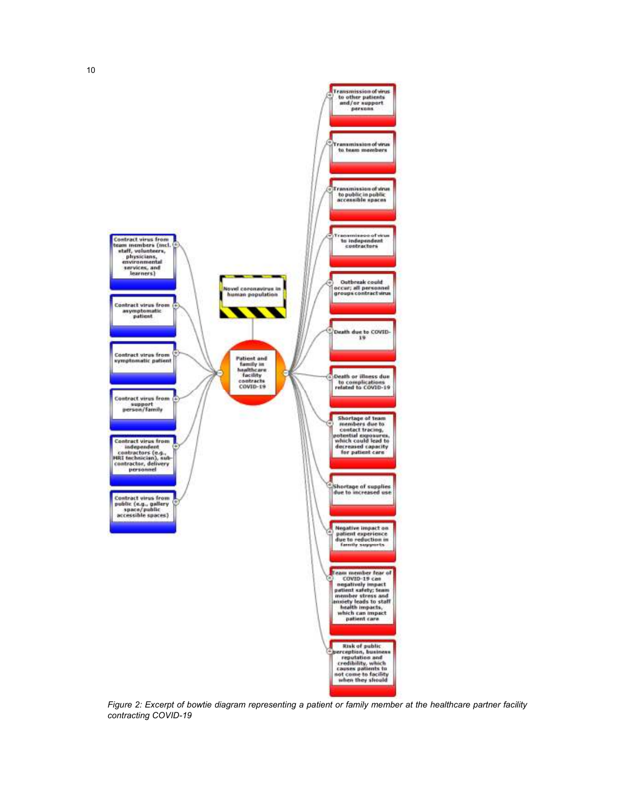

*Figure 2: Excerpt of bowtie diagram representing a patient or family member at the healthcare partner facility contracting COVID-19*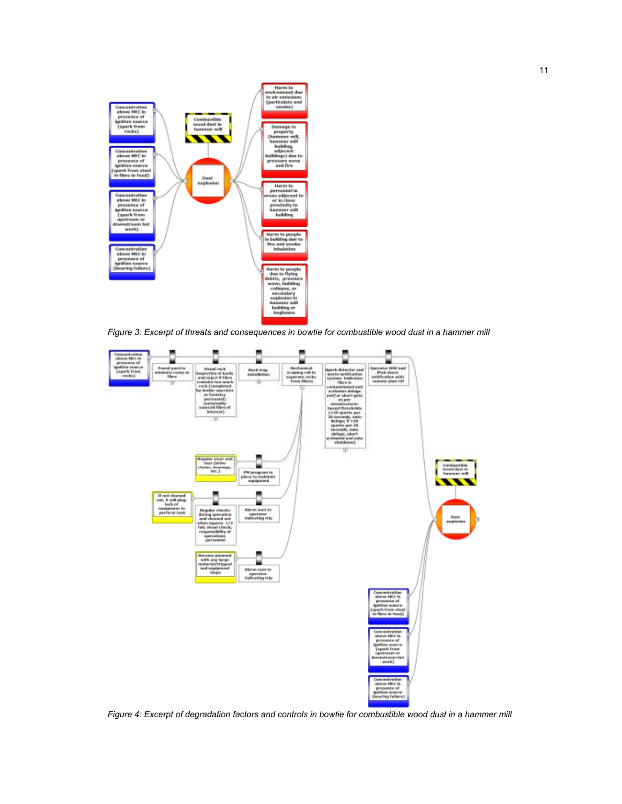

*Figure 3: Excerpt of threats and consequences in bowtie for combustible wood dust in a hammer mill* 



*Figure 4: Excerpt of degradation factors and controls in bowtie for combustible wood dust in a hammer mill*